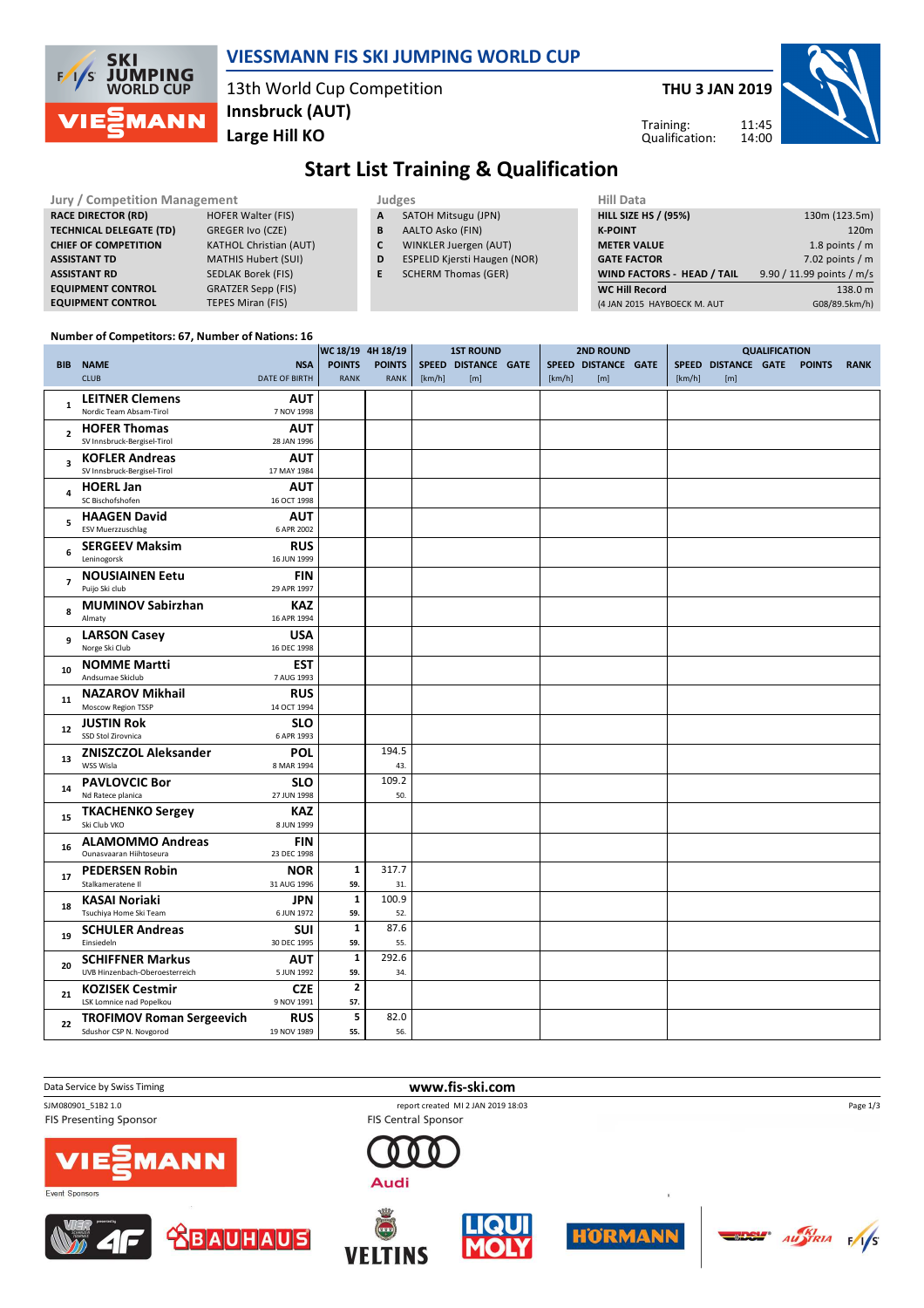

### **VIESSMANN FIS SKI JUMPING WORLD CUP**

13th World Cup Competition **Large Hill KO Innsbruck (AUT)**

**THU 3 JAN 2019**



Training: Qualification:

# **Start List Training & Qualification**

| Jury / Competition Management  |                               |    | <b>Judges</b>                       | <b>Hill Data</b>                  |                           |  |  |  |  |
|--------------------------------|-------------------------------|----|-------------------------------------|-----------------------------------|---------------------------|--|--|--|--|
| <b>RACE DIRECTOR (RD)</b>      | <b>HOFER Walter (FIS)</b>     | A  | SATOH Mitsugu (JPN)                 | <b>HILL SIZE HS / (95%)</b>       | 130m (123.5m)             |  |  |  |  |
| <b>TECHNICAL DELEGATE (TD)</b> | GREGER Ivo (CZE)              | B  | AALTO Asko (FIN)                    | <b>K-POINT</b>                    | 120m                      |  |  |  |  |
| <b>CHIEF OF COMPETITION</b>    | <b>KATHOL Christian (AUT)</b> |    | WINKLER Juergen (AUT)               | <b>METER VALUE</b>                | 1.8 points $/m$           |  |  |  |  |
| <b>ASSISTANT TD</b>            | <b>MATHIS Hubert (SUI)</b>    | D  | <b>ESPELID Kjersti Haugen (NOR)</b> | <b>GATE FACTOR</b>                | 7.02 points $/m$          |  |  |  |  |
| <b>ASSISTANT RD</b>            | SEDLAK Borek (FIS)            | E. | <b>SCHERM Thomas (GER)</b>          | <b>WIND FACTORS - HEAD / TAIL</b> | 9.90 / 11.99 points / m/s |  |  |  |  |
| <b>EQUIPMENT CONTROL</b>       | <b>GRATZER Sepp (FIS)</b>     |    |                                     | <b>WC Hill Record</b>             | 138.0 m                   |  |  |  |  |
| <b>EQUIPMENT CONTROL</b>       | TEPES Miran (FIS)             |    |                                     | (4 JAN 2015 HAYBOECK M. AUT       | G08/89.5km/h)             |  |  |  |  |

#### **Number of Competitors: 67, Number of Nations: 16**

|                         |                                      |                           | WC 18/19 4H 18/19 |               |        | <b>1ST ROUND</b>    | <b>2ND ROUND</b> |                     | <b>QUALIFICATION</b> |        |                     |  |               |             |
|-------------------------|--------------------------------------|---------------------------|-------------------|---------------|--------|---------------------|------------------|---------------------|----------------------|--------|---------------------|--|---------------|-------------|
|                         | <b>BIB NAME</b>                      | <b>NSA</b>                | <b>POINTS</b>     | <b>POINTS</b> |        | SPEED DISTANCE GATE |                  | SPEED DISTANCE GATE |                      |        | SPEED DISTANCE GATE |  | <b>POINTS</b> | <b>RANK</b> |
|                         | <b>CLUB</b>                          | <b>DATE OF BIRTH</b>      | RANK              | <b>RANK</b>   | [km/h] | [m]                 | [km/h]           | [m]                 |                      | [km/h] | [m]                 |  |               |             |
|                         | <b>LEITNER Clemens</b>               | <b>AUT</b>                |                   |               |        |                     |                  |                     |                      |        |                     |  |               |             |
| 1                       | Nordic Team Absam-Tirol              | 7 NOV 1998                |                   |               |        |                     |                  |                     |                      |        |                     |  |               |             |
|                         | <b>HOFER Thomas</b>                  | <b>AUT</b>                |                   |               |        |                     |                  |                     |                      |        |                     |  |               |             |
| $\overline{\mathbf{c}}$ | SV Innsbruck-Bergisel-Tirol          | 28 JAN 1996               |                   |               |        |                     |                  |                     |                      |        |                     |  |               |             |
|                         | <b>KOFLER Andreas</b>                | <b>AUT</b>                |                   |               |        |                     |                  |                     |                      |        |                     |  |               |             |
| 3                       | SV Innsbruck-Bergisel-Tirol          | 17 MAY 1984               |                   |               |        |                     |                  |                     |                      |        |                     |  |               |             |
|                         |                                      |                           |                   |               |        |                     |                  |                     |                      |        |                     |  |               |             |
| 4                       | <b>HOERL Jan</b><br>SC Bischofshofen | <b>AUT</b><br>16 OCT 1998 |                   |               |        |                     |                  |                     |                      |        |                     |  |               |             |
|                         |                                      |                           |                   |               |        |                     |                  |                     |                      |        |                     |  |               |             |
| 5                       | <b>HAAGEN David</b>                  | <b>AUT</b>                |                   |               |        |                     |                  |                     |                      |        |                     |  |               |             |
|                         | <b>ESV Muerzzuschlag</b>             | 6 APR 2002                |                   |               |        |                     |                  |                     |                      |        |                     |  |               |             |
| 6                       | <b>SERGEEV Maksim</b>                | <b>RUS</b>                |                   |               |        |                     |                  |                     |                      |        |                     |  |               |             |
|                         | Leninogorsk                          | 16 JUN 1999               |                   |               |        |                     |                  |                     |                      |        |                     |  |               |             |
| $\overline{7}$          | <b>NOUSIAINEN Eetu</b>               | <b>FIN</b>                |                   |               |        |                     |                  |                     |                      |        |                     |  |               |             |
|                         | Puijo Ski club                       | 29 APR 1997               |                   |               |        |                     |                  |                     |                      |        |                     |  |               |             |
| 8                       | <b>MUMINOV Sabirzhan</b>             | <b>KAZ</b>                |                   |               |        |                     |                  |                     |                      |        |                     |  |               |             |
|                         | Almaty                               | 16 APR 1994               |                   |               |        |                     |                  |                     |                      |        |                     |  |               |             |
| 9                       | <b>LARSON Casey</b>                  | <b>USA</b>                |                   |               |        |                     |                  |                     |                      |        |                     |  |               |             |
|                         | Norge Ski Club                       | 16 DEC 1998               |                   |               |        |                     |                  |                     |                      |        |                     |  |               |             |
| 10                      | <b>NOMME Martti</b>                  | <b>EST</b>                |                   |               |        |                     |                  |                     |                      |        |                     |  |               |             |
|                         | Andsumae Skiclub                     | 7 AUG 1993                |                   |               |        |                     |                  |                     |                      |        |                     |  |               |             |
|                         | <b>NAZAROV Mikhail</b>               | <b>RUS</b>                |                   |               |        |                     |                  |                     |                      |        |                     |  |               |             |
| 11                      | Moscow Region TSSP                   | 14 OCT 1994               |                   |               |        |                     |                  |                     |                      |        |                     |  |               |             |
|                         | <b>JUSTIN Rok</b>                    | <b>SLO</b>                |                   |               |        |                     |                  |                     |                      |        |                     |  |               |             |
| 12                      | SSD Stol Zirovnica                   | 6 APR 1993                |                   |               |        |                     |                  |                     |                      |        |                     |  |               |             |
|                         | <b>ZNISZCZOL Aleksander</b>          | <b>POL</b>                |                   | 194.5         |        |                     |                  |                     |                      |        |                     |  |               |             |
| 13                      | WSS Wisla                            | 8 MAR 1994                |                   | 43.           |        |                     |                  |                     |                      |        |                     |  |               |             |
|                         | <b>PAVLOVCIC Bor</b>                 | <b>SLO</b>                |                   | 109.2         |        |                     |                  |                     |                      |        |                     |  |               |             |
| 14                      | Nd Ratece planica                    | 27 JUN 1998               |                   | 50.           |        |                     |                  |                     |                      |        |                     |  |               |             |
|                         | <b>TKACHENKO Sergey</b>              | KAZ                       |                   |               |        |                     |                  |                     |                      |        |                     |  |               |             |
| 15                      | Ski Club VKO                         | 8 JUN 1999                |                   |               |        |                     |                  |                     |                      |        |                     |  |               |             |
|                         | <b>ALAMOMMO Andreas</b>              | <b>FIN</b>                |                   |               |        |                     |                  |                     |                      |        |                     |  |               |             |
| 16                      | Ounasvaaran Hiihtoseura              | 23 DEC 1998               |                   |               |        |                     |                  |                     |                      |        |                     |  |               |             |
|                         | <b>PEDERSEN Robin</b>                | <b>NOR</b>                | $\mathbf{1}$      | 317.7         |        |                     |                  |                     |                      |        |                     |  |               |             |
| 17                      | Stalkameratene II                    | 31 AUG 1996               | 59.               | 31.           |        |                     |                  |                     |                      |        |                     |  |               |             |
|                         | <b>KASAI Noriaki</b>                 | JPN                       | $\mathbf{1}$      | 100.9         |        |                     |                  |                     |                      |        |                     |  |               |             |
| 18                      | Tsuchiya Home Ski Team               | 6 JUN 1972                | 59.               | 52.           |        |                     |                  |                     |                      |        |                     |  |               |             |
|                         |                                      |                           | $\mathbf{1}$      | 87.6          |        |                     |                  |                     |                      |        |                     |  |               |             |
| 19                      | <b>SCHULER Andreas</b><br>Einsiedeln | <b>SUI</b><br>30 DEC 1995 | 59.               | 55.           |        |                     |                  |                     |                      |        |                     |  |               |             |
|                         |                                      |                           |                   |               |        |                     |                  |                     |                      |        |                     |  |               |             |
| 20                      | <b>SCHIFFNER Markus</b>              | <b>AUT</b>                | $\mathbf 1$       | 292.6         |        |                     |                  |                     |                      |        |                     |  |               |             |
|                         | UVB Hinzenbach-Oberoesterreich       | 5 JUN 1992                | 59.               | 34.           |        |                     |                  |                     |                      |        |                     |  |               |             |
| 21                      | <b>KOZISEK Cestmir</b>               | <b>CZE</b>                | $\mathbf{2}$      |               |        |                     |                  |                     |                      |        |                     |  |               |             |
|                         | LSK Lomnice nad Popelkou             | 9 NOV 1991                | 57.               |               |        |                     |                  |                     |                      |        |                     |  |               |             |
| 22                      | <b>TROFIMOV Roman Sergeevich</b>     | <b>RUS</b>                | 5                 | 82.0          |        |                     |                  |                     |                      |        |                     |  |               |             |
|                         | Sdushor CSP N. Novgorod              | 19 NOV 1989               | 55.               | 56.           |        |                     |                  |                     |                      |        |                     |  |               |             |

FIS Presenting Sponsor

**Data Service by Swiss Timing WWW.fis-ski.com** 

SJM080901\_51B2 1.0 report created MI 2 JAN 2019 18:03 FIS Central Sponsor



**BAUHAUS** 

















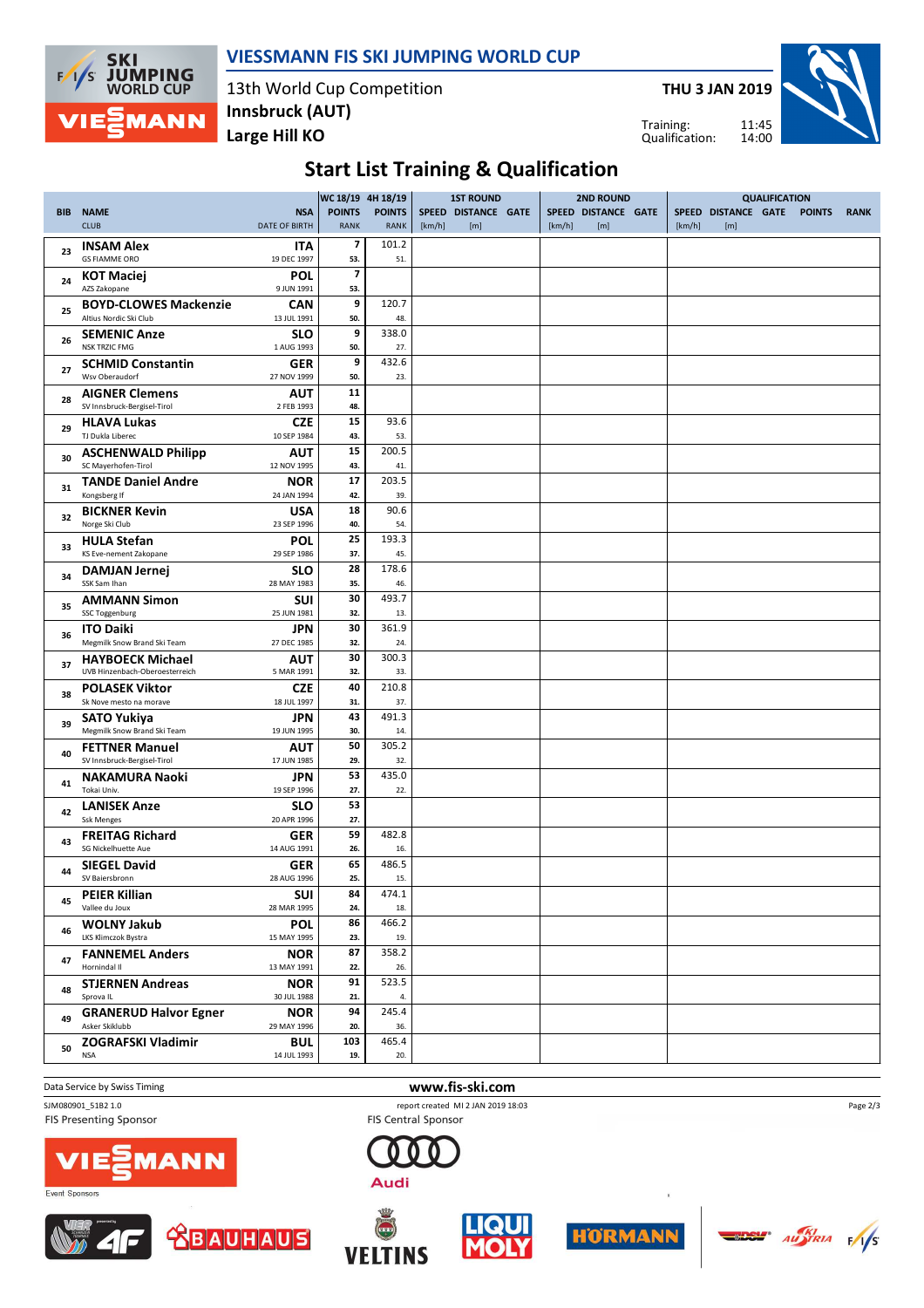

#### **VIESSMANN FIS SKI JUMPING WORLD CUP**

13th World Cup Competition **Large Hill KO Innsbruck (AUT)**

**THU 3 JAN 2019**

Training: Qualification:



## **Start List Training & Qualification**

|            |                                                           |                                    | WC 18/19 4H 18/19            |                              |        | <b>1ST ROUND</b>           |        | <b>2ND ROUND</b>           | <b>QUALIFICATION</b> |                            |  |               |             |  |
|------------|-----------------------------------------------------------|------------------------------------|------------------------------|------------------------------|--------|----------------------------|--------|----------------------------|----------------------|----------------------------|--|---------------|-------------|--|
| <b>BIB</b> | <b>NAME</b><br><b>CLUB</b>                                | <b>NSA</b><br><b>DATE OF BIRTH</b> | <b>POINTS</b><br><b>RANK</b> | <b>POINTS</b><br><b>RANK</b> | [km/h] | SPEED DISTANCE GATE<br>[m] | [km/h] | SPEED DISTANCE GATE<br>[m] | [km/h]               | SPEED DISTANCE GATE<br>[m] |  | <b>POINTS</b> | <b>RANK</b> |  |
| 23         | <b>INSAM Alex</b><br><b>GS FIAMME ORO</b>                 | <b>ITA</b><br>19 DEC 1997          | 7<br>53.                     | 101.2<br>51.                 |        |                            |        |                            |                      |                            |  |               |             |  |
| 24         | <b>KOT Maciej</b><br>AZS Zakopane                         | <b>POL</b><br>9 JUN 1991           | 7<br>53.                     |                              |        |                            |        |                            |                      |                            |  |               |             |  |
| 25         | <b>BOYD-CLOWES Mackenzie</b><br>Altius Nordic Ski Club    | CAN<br>13 JUL 1991                 | 9<br>50.                     | 120.7<br>48.                 |        |                            |        |                            |                      |                            |  |               |             |  |
| 26         | <b>SEMENIC Anze</b>                                       | <b>SLO</b>                         | 9                            | 338.0                        |        |                            |        |                            |                      |                            |  |               |             |  |
| 27         | <b>NSK TRZIC FMG</b><br><b>SCHMID Constantin</b>          | 1 AUG 1993<br><b>GER</b>           | 50.<br>9                     | 27.<br>432.6                 |        |                            |        |                            |                      |                            |  |               |             |  |
| 28         | Wsv Oberaudorf<br><b>AIGNER Clemens</b>                   | 27 NOV 1999<br><b>AUT</b>          | 50.<br>11                    | 23.                          |        |                            |        |                            |                      |                            |  |               |             |  |
|            | SV Innsbruck-Bergisel-Tirol<br><b>HLAVA Lukas</b>         | 2 FEB 1993<br><b>CZE</b>           | 48.<br>15                    | 93.6                         |        |                            |        |                            |                      |                            |  |               |             |  |
| 29         | TJ Dukla Liberec                                          | 10 SEP 1984                        | 43.                          | 53.                          |        |                            |        |                            |                      |                            |  |               |             |  |
| 30         | <b>ASCHENWALD Philipp</b><br>SC Mayerhofen-Tirol          | AUT<br>12 NOV 1995                 | 15<br>43.                    | 200.5<br>41.                 |        |                            |        |                            |                      |                            |  |               |             |  |
| 31         | <b>TANDE Daniel Andre</b>                                 | <b>NOR</b>                         | 17<br>42.                    | 203.5                        |        |                            |        |                            |                      |                            |  |               |             |  |
|            | Kongsberg If<br><b>BICKNER Kevin</b>                      | 24 JAN 1994<br><b>USA</b>          | 18                           | 39.<br>90.6                  |        |                            |        |                            |                      |                            |  |               |             |  |
| 32         | Norge Ski Club                                            | 23 SEP 1996                        | 40.                          | 54.                          |        |                            |        |                            |                      |                            |  |               |             |  |
| 33         | <b>HULA Stefan</b><br>KS Eve-nement Zakopane              | <b>POL</b><br>29 SEP 1986          | 25<br>37.                    | 193.3<br>45.                 |        |                            |        |                            |                      |                            |  |               |             |  |
| 34         | <b>DAMJAN Jernej</b><br>SSK Sam Ihan                      | SLO<br>28 MAY 1983                 | 28<br>35.                    | 178.6<br>46.                 |        |                            |        |                            |                      |                            |  |               |             |  |
| 35         | <b>AMMANN Simon</b><br><b>SSC Toggenburg</b>              | <b>SUI</b><br>25 JUN 1981          | 30<br>32.                    | 493.7<br>13.                 |        |                            |        |                            |                      |                            |  |               |             |  |
| 36         | <b>ITO Daiki</b>                                          | JPN                                | 30                           | 361.9                        |        |                            |        |                            |                      |                            |  |               |             |  |
|            | Megmilk Snow Brand Ski Team                               | 27 DEC 1985                        | 32.                          | 24.                          |        |                            |        |                            |                      |                            |  |               |             |  |
| 37         | <b>HAYBOECK Michael</b><br>UVB Hinzenbach-Oberoesterreich | AUT<br>5 MAR 1991                  | 30<br>32.                    | 300.3<br>33.                 |        |                            |        |                            |                      |                            |  |               |             |  |
| 38         | <b>POLASEK Viktor</b><br>Sk Nove mesto na morave          | <b>CZE</b><br>18 JUL 1997          | 40<br>31.                    | 210.8<br>37.                 |        |                            |        |                            |                      |                            |  |               |             |  |
| 39         | <b>SATO Yukiya</b><br>Megmilk Snow Brand Ski Team         | JPN<br>19 JUN 1995                 | 43<br>30.                    | 491.3<br>14.                 |        |                            |        |                            |                      |                            |  |               |             |  |
| 40         | <b>FETTNER Manuel</b>                                     | AUT<br>17 JUN 1985                 | 50<br>29.                    | 305.2                        |        |                            |        |                            |                      |                            |  |               |             |  |
|            | SV Innsbruck-Bergisel-Tirol<br><b>NAKAMURA Naoki</b>      | JPN                                | 53                           | 32.<br>435.0                 |        |                            |        |                            |                      |                            |  |               |             |  |
| 41         | Tokai Univ.                                               | 19 SEP 1996                        | 27.                          | 22.                          |        |                            |        |                            |                      |                            |  |               |             |  |
| 42         | <b>LANISEK Anze</b><br><b>Ssk Menges</b>                  | <b>SLO</b><br>20 APR 1996          | 53<br>27.                    |                              |        |                            |        |                            |                      |                            |  |               |             |  |
| 43         | <b>FREITAG Richard</b><br>SG Nickelhuette Aue             | <b>GER</b><br>14 AUG 1991          | 59<br>26.                    | 482.8<br>16.                 |        |                            |        |                            |                      |                            |  |               |             |  |
| 44         | <b>SIEGEL David</b><br>SV Baiersbronn                     | GER<br>28 AUG 1996                 | 65<br>25.                    | 486.5<br>15.                 |        |                            |        |                            |                      |                            |  |               |             |  |
| 45         | <b>PEIER Killian</b><br>Vallee du Joux                    | SUI<br>28 MAR 1995                 | 84<br>24.                    | 474.1                        |        |                            |        |                            |                      |                            |  |               |             |  |
|            | <b>WOLNY Jakub</b>                                        | <b>POL</b>                         | 86                           | 18.<br>466.2                 |        |                            |        |                            |                      |                            |  |               |             |  |
| 46         | LKS Klimczok Bystra                                       | 15 MAY 1995                        | 23.                          | 19.                          |        |                            |        |                            |                      |                            |  |               |             |  |
| 47         | <b>FANNEMEL Anders</b><br>Hornindal II                    | <b>NOR</b><br>13 MAY 1991          | 87<br>22.                    | 358.2<br>26.                 |        |                            |        |                            |                      |                            |  |               |             |  |
| 48         | <b>STJERNEN Andreas</b><br>Sprova IL                      | <b>NOR</b><br>30 JUL 1988          | 91<br>21.                    | 523.5<br>4.                  |        |                            |        |                            |                      |                            |  |               |             |  |
| 49         | <b>GRANERUD Halvor Egner</b><br>Asker Skiklubb            | <b>NOR</b><br>29 MAY 1996          | 94<br>20.                    | 245.4<br>36.                 |        |                            |        |                            |                      |                            |  |               |             |  |
| 50         | ZOGRAFSKI Vladimir                                        | <b>BUL</b>                         | 103                          | 465.4                        |        |                            |        |                            |                      |                            |  |               |             |  |
|            | <b>NSA</b>                                                | 14 JUL 1993                        | 19.                          | 20.                          |        |                            |        |                            |                      |                            |  |               |             |  |

Event Sponsor

FIS Presenting Sponsor

1AN I

**BAUHAUS** 



SJM080901\_51B2 1.0 report created MI 2 JAN 2019 18:03 FIS Central Sponsor









Page 2/3